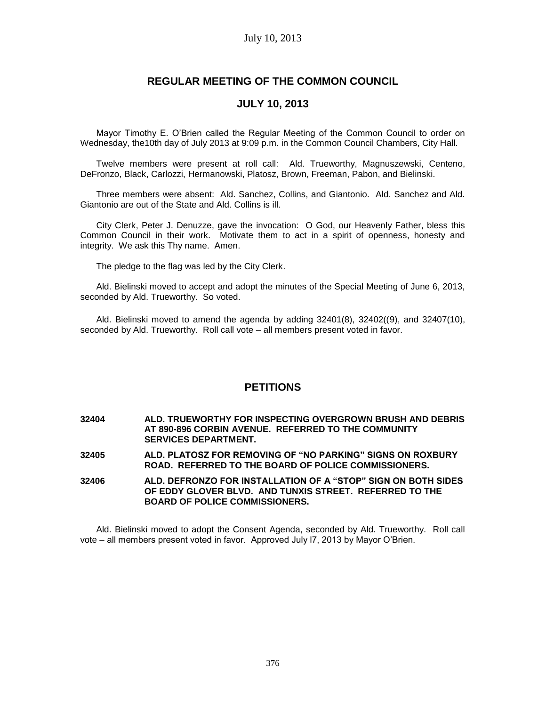# **REGULAR MEETING OF THE COMMON COUNCIL**

# **JULY 10, 2013**

Mayor Timothy E. O'Brien called the Regular Meeting of the Common Council to order on Wednesday, the10th day of July 2013 at 9:09 p.m. in the Common Council Chambers, City Hall.

Twelve members were present at roll call: Ald. Trueworthy, Magnuszewski, Centeno, DeFronzo, Black, Carlozzi, Hermanowski, Platosz, Brown, Freeman, Pabon, and Bielinski.

Three members were absent: Ald. Sanchez, Collins, and Giantonio. Ald. Sanchez and Ald. Giantonio are out of the State and Ald. Collins is ill.

City Clerk, Peter J. Denuzze, gave the invocation: O God, our Heavenly Father, bless this Common Council in their work. Motivate them to act in a spirit of openness, honesty and integrity. We ask this Thy name. Amen.

The pledge to the flag was led by the City Clerk.

Ald. Bielinski moved to accept and adopt the minutes of the Special Meeting of June 6, 2013, seconded by Ald. Trueworthy. So voted.

Ald. Bielinski moved to amend the agenda by adding 32401(8), 32402((9), and 32407(10), seconded by Ald. Trueworthy. Roll call vote – all members present voted in favor.

# **PETITIONS**

**32404 ALD. TRUEWORTHY FOR INSPECTING OVERGROWN BRUSH AND DEBRIS AT 890-896 CORBIN AVENUE. REFERRED TO THE COMMUNITY SERVICES DEPARTMENT.**

**32405 ALD. PLATOSZ FOR REMOVING OF "NO PARKING" SIGNS ON ROXBURY ROAD. REFERRED TO THE BOARD OF POLICE COMMISSIONERS.**

**32406 ALD. DEFRONZO FOR INSTALLATION OF A "STOP" SIGN ON BOTH SIDES OF EDDY GLOVER BLVD. AND TUNXIS STREET. REFERRED TO THE BOARD OF POLICE COMMISSIONERS.**

Ald. Bielinski moved to adopt the Consent Agenda, seconded by Ald. Trueworthy. Roll call vote – all members present voted in favor. Approved July l7, 2013 by Mayor O'Brien.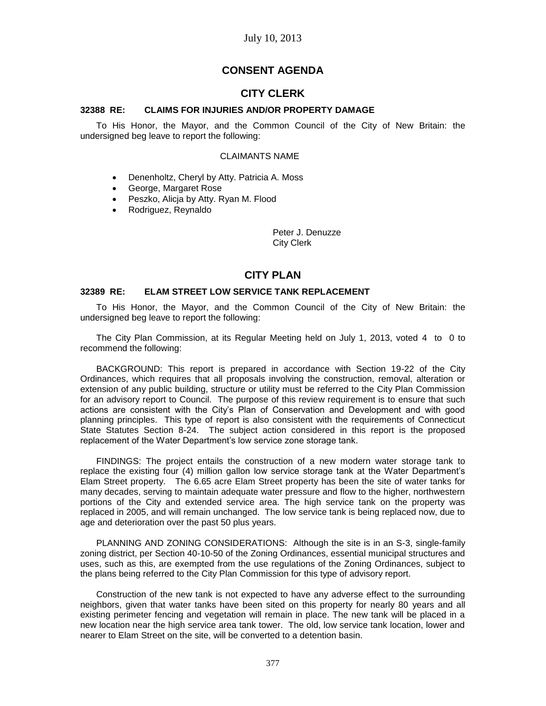# **CONSENT AGENDA**

# **CITY CLERK**

## **32388 RE: CLAIMS FOR INJURIES AND/OR PROPERTY DAMAGE**

To His Honor, the Mayor, and the Common Council of the City of New Britain: the undersigned beg leave to report the following:

#### CLAIMANTS NAME

- Denenholtz, Cheryl by Atty. Patricia A. Moss
- George, Margaret Rose
- Peszko, Alicja by Atty. Ryan M. Flood
- Rodriguez, Reynaldo

Peter J. Denuzze City Clerk

# **CITY PLAN**

### **32389 RE: ELAM STREET LOW SERVICE TANK REPLACEMENT**

To His Honor, the Mayor, and the Common Council of the City of New Britain: the undersigned beg leave to report the following:

The City Plan Commission, at its Regular Meeting held on July 1, 2013, voted 4 to 0 to recommend the following:

BACKGROUND: This report is prepared in accordance with Section 19-22 of the City Ordinances, which requires that all proposals involving the construction, removal, alteration or extension of any public building, structure or utility must be referred to the City Plan Commission for an advisory report to Council. The purpose of this review requirement is to ensure that such actions are consistent with the City's Plan of Conservation and Development and with good planning principles. This type of report is also consistent with the requirements of Connecticut State Statutes Section 8-24. The subject action considered in this report is the proposed replacement of the Water Department's low service zone storage tank.

FINDINGS: The project entails the construction of a new modern water storage tank to replace the existing four (4) million gallon low service storage tank at the Water Department's Elam Street property. The 6.65 acre Elam Street property has been the site of water tanks for many decades, serving to maintain adequate water pressure and flow to the higher, northwestern portions of the City and extended service area. The high service tank on the property was replaced in 2005, and will remain unchanged. The low service tank is being replaced now, due to age and deterioration over the past 50 plus years.

PLANNING AND ZONING CONSIDERATIONS: Although the site is in an S-3, single-family zoning district, per Section 40-10-50 of the Zoning Ordinances, essential municipal structures and uses, such as this, are exempted from the use regulations of the Zoning Ordinances, subject to the plans being referred to the City Plan Commission for this type of advisory report.

Construction of the new tank is not expected to have any adverse effect to the surrounding neighbors, given that water tanks have been sited on this property for nearly 80 years and all existing perimeter fencing and vegetation will remain in place. The new tank will be placed in a new location near the high service area tank tower. The old, low service tank location, lower and nearer to Elam Street on the site, will be converted to a detention basin.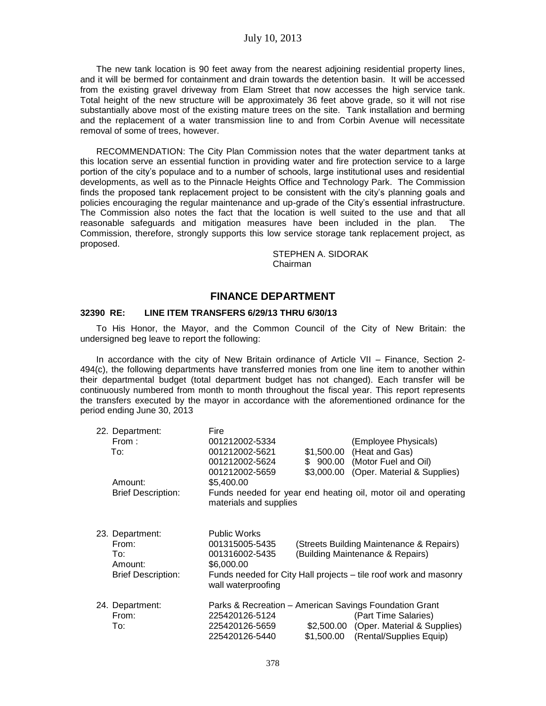The new tank location is 90 feet away from the nearest adjoining residential property lines, and it will be bermed for containment and drain towards the detention basin. It will be accessed from the existing gravel driveway from Elam Street that now accesses the high service tank. Total height of the new structure will be approximately 36 feet above grade, so it will not rise substantially above most of the existing mature trees on the site. Tank installation and berming and the replacement of a water transmission line to and from Corbin Avenue will necessitate removal of some of trees, however.

RECOMMENDATION: The City Plan Commission notes that the water department tanks at this location serve an essential function in providing water and fire protection service to a large portion of the city's populace and to a number of schools, large institutional uses and residential developments, as well as to the Pinnacle Heights Office and Technology Park. The Commission finds the proposed tank replacement project to be consistent with the city's planning goals and policies encouraging the regular maintenance and up-grade of the City's essential infrastructure. The Commission also notes the fact that the location is well suited to the use and that all reasonable safeguards and mitigation measures have been included in the plan. The Commission, therefore, strongly supports this low service storage tank replacement project, as proposed.

> STEPHEN A. SIDORAK Chairman

# **FINANCE DEPARTMENT**

#### **32390 RE: LINE ITEM TRANSFERS 6/29/13 THRU 6/30/13**

To His Honor, the Mayor, and the Common Council of the City of New Britain: the undersigned beg leave to report the following:

In accordance with the city of New Britain ordinance of Article VII – Finance, Section 2- 494(c), the following departments have transferred monies from one line item to another within their departmental budget (total department budget has not changed). Each transfer will be continuously numbered from month to month throughout the fiscal year. This report represents the transfers executed by the mayor in accordance with the aforementioned ordinance for the period ending June 30, 2013

|                                                     | 22. Department:<br>From:<br>To: | Fire<br>001212002-5334<br>001212002-5621<br>001212002-5624<br>001212002-5659           | \$1,500.00<br>\$900.00<br>\$3.000.00 | (Employee Physicals)<br>(Heat and Gas)<br>(Motor Fuel and Oil)<br>(Oper. Material & Supplies) |
|-----------------------------------------------------|---------------------------------|----------------------------------------------------------------------------------------|--------------------------------------|-----------------------------------------------------------------------------------------------|
|                                                     | Amount:                         | \$5,400.00                                                                             |                                      |                                                                                               |
| <b>Brief Description:</b><br>materials and supplies |                                 |                                                                                        |                                      | Funds needed for year end heating oil, motor oil and operating                                |
|                                                     | 23. Department:                 | <b>Public Works</b>                                                                    |                                      |                                                                                               |
|                                                     | From:                           | 001315005-5435                                                                         |                                      | (Streets Building Maintenance & Repairs)                                                      |
|                                                     | To:                             | 001316002-5435                                                                         |                                      | (Building Maintenance & Repairs)                                                              |
|                                                     | Amount:                         | \$6,000.00                                                                             |                                      |                                                                                               |
|                                                     | <b>Brief Description:</b>       | Funds needed for City Hall projects – tile roof work and masonry<br>wall waterproofing |                                      |                                                                                               |
|                                                     | 24. Department:                 | Parks & Recreation – American Savings Foundation Grant                                 |                                      |                                                                                               |
|                                                     | From:                           | 225420126-5124                                                                         |                                      | (Part Time Salaries)                                                                          |
|                                                     | To:                             | 225420126-5659                                                                         | \$2,500.00                           | (Oper. Material & Supplies)                                                                   |
|                                                     |                                 | 225420126-5440                                                                         | \$1.500.00                           | (Rental/Supplies Equip)                                                                       |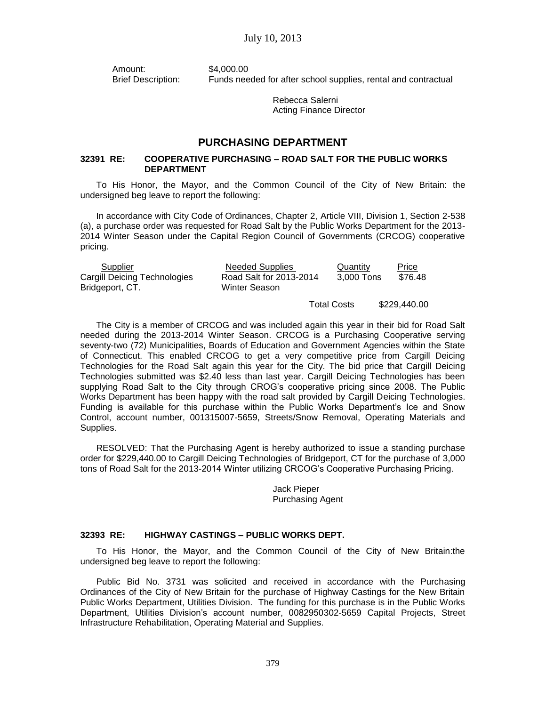Amount: \$4,000.00 Brief Description: Funds needed for after school supplies, rental and contractual

> Rebecca Salerni Acting Finance Director

# **PURCHASING DEPARTMENT**

## **32391 RE: COOPERATIVE PURCHASING – ROAD SALT FOR THE PUBLIC WORKS DEPARTMENT**

To His Honor, the Mayor, and the Common Council of the City of New Britain: the undersigned beg leave to report the following:

In accordance with City Code of Ordinances, Chapter 2, Article VIII, Division 1, Section 2-538 (a), a purchase order was requested for Road Salt by the Public Works Department for the 2013- 2014 Winter Season under the Capital Region Council of Governments (CRCOG) cooperative pricing.

| Supplier                                        | <b>Needed Supplies</b>                   | Quantity   | <b>Price</b> |
|-------------------------------------------------|------------------------------------------|------------|--------------|
| Cargill Deicing Technologies<br>Bridgeport, CT. | Road Salt for 2013-2014<br>Winter Season | 3.000 Tons | \$76.48      |

Total Costs \$229,440.00

The City is a member of CRCOG and was included again this year in their bid for Road Salt needed during the 2013-2014 Winter Season. CRCOG is a Purchasing Cooperative serving seventy-two (72) Municipalities, Boards of Education and Government Agencies within the State of Connecticut. This enabled CRCOG to get a very competitive price from Cargill Deicing Technologies for the Road Salt again this year for the City. The bid price that Cargill Deicing Technologies submitted was \$2.40 less than last year. Cargill Deicing Technologies has been supplying Road Salt to the City through CROG's cooperative pricing since 2008. The Public Works Department has been happy with the road salt provided by Cargill Deicing Technologies. Funding is available for this purchase within the Public Works Department's Ice and Snow Control, account number, 001315007-5659, Streets/Snow Removal, Operating Materials and Supplies.

RESOLVED: That the Purchasing Agent is hereby authorized to issue a standing purchase order for \$229,440.00 to Cargill Deicing Technologies of Bridgeport, CT for the purchase of 3,000 tons of Road Salt for the 2013-2014 Winter utilizing CRCOG's Cooperative Purchasing Pricing.

> Jack Pieper Purchasing Agent

## **32393 RE: HIGHWAY CASTINGS – PUBLIC WORKS DEPT.**

To His Honor, the Mayor, and the Common Council of the City of New Britain:the undersigned beg leave to report the following:

Public Bid No. 3731 was solicited and received in accordance with the Purchasing Ordinances of the City of New Britain for the purchase of Highway Castings for the New Britain Public Works Department, Utilities Division. The funding for this purchase is in the Public Works Department, Utilities Division's account number, 0082950302-5659 Capital Projects, Street Infrastructure Rehabilitation, Operating Material and Supplies.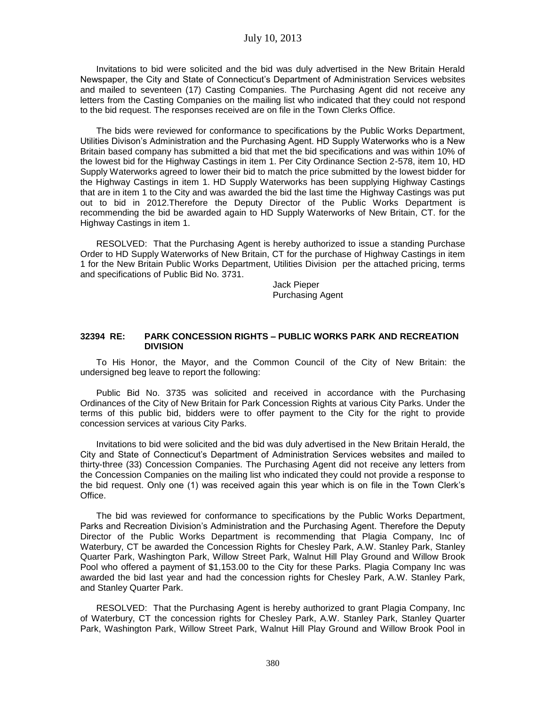Invitations to bid were solicited and the bid was duly advertised in the New Britain Herald Newspaper, the City and State of Connecticut's Department of Administration Services websites and mailed to seventeen (17) Casting Companies. The Purchasing Agent did not receive any letters from the Casting Companies on the mailing list who indicated that they could not respond to the bid request. The responses received are on file in the Town Clerks Office.

The bids were reviewed for conformance to specifications by the Public Works Department, Utilities Divison's Administration and the Purchasing Agent. HD Supply Waterworks who is a New Britain based company has submitted a bid that met the bid specifications and was within 10% of the lowest bid for the Highway Castings in item 1. Per City Ordinance Section 2-578, item 10, HD Supply Waterworks agreed to lower their bid to match the price submitted by the lowest bidder for the Highway Castings in item 1. HD Supply Waterworks has been supplying Highway Castings that are in item 1 to the City and was awarded the bid the last time the Highway Castings was put out to bid in 2012.Therefore the Deputy Director of the Public Works Department is recommending the bid be awarded again to HD Supply Waterworks of New Britain, CT. for the Highway Castings in item 1.

RESOLVED: That the Purchasing Agent is hereby authorized to issue a standing Purchase Order to HD Supply Waterworks of New Britain, CT for the purchase of Highway Castings in item 1 for the New Britain Public Works Department, Utilities Division per the attached pricing, terms and specifications of Public Bid No. 3731.

> Jack Pieper Purchasing Agent

## **32394 RE: PARK CONCESSION RIGHTS – PUBLIC WORKS PARK AND RECREATION DIVISION**

To His Honor, the Mayor, and the Common Council of the City of New Britain: the undersigned beg leave to report the following:

Public Bid No. 3735 was solicited and received in accordance with the Purchasing Ordinances of the City of New Britain for Park Concession Rights at various City Parks. Under the terms of this public bid, bidders were to offer payment to the City for the right to provide concession services at various City Parks.

Invitations to bid were solicited and the bid was duly advertised in the New Britain Herald, the City and State of Connecticut's Department of Administration Services websites and mailed to thirty-three (33) Concession Companies. The Purchasing Agent did not receive any letters from the Concession Companies on the mailing list who indicated they could not provide a response to the bid request. Only one (1) was received again this year which is on file in the Town Clerk's Office.

The bid was reviewed for conformance to specifications by the Public Works Department, Parks and Recreation Division's Administration and the Purchasing Agent. Therefore the Deputy Director of the Public Works Department is recommending that Plagia Company, Inc of Waterbury, CT be awarded the Concession Rights for Chesley Park, A.W. Stanley Park, Stanley Quarter Park, Washington Park, Willow Street Park, Walnut Hill Play Ground and Willow Brook Pool who offered a payment of \$1,153.00 to the City for these Parks. Plagia Company Inc was awarded the bid last year and had the concession rights for Chesley Park, A.W. Stanley Park, and Stanley Quarter Park.

RESOLVED: That the Purchasing Agent is hereby authorized to grant Plagia Company, Inc of Waterbury, CT the concession rights for Chesley Park, A.W. Stanley Park, Stanley Quarter Park, Washington Park, Willow Street Park, Walnut Hill Play Ground and Willow Brook Pool in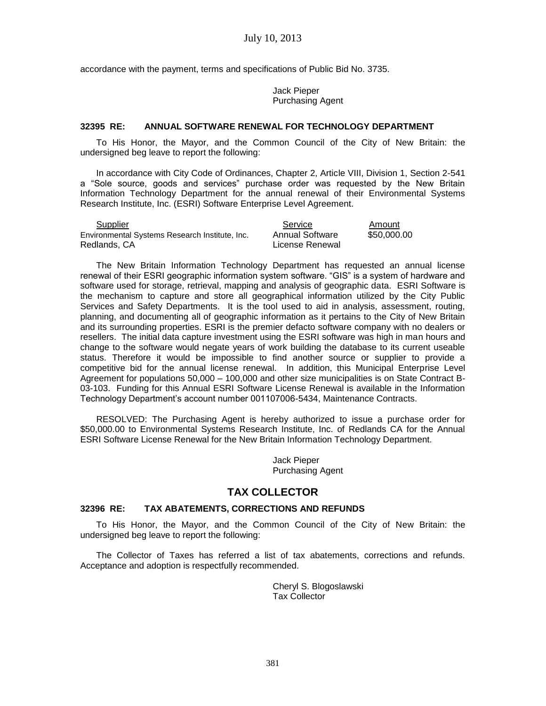accordance with the payment, terms and specifications of Public Bid No. 3735.

### Jack Pieper Purchasing Agent

#### **32395 RE: ANNUAL SOFTWARE RENEWAL FOR TECHNOLOGY DEPARTMENT**

To His Honor, the Mayor, and the Common Council of the City of New Britain: the undersigned beg leave to report the following:

In accordance with City Code of Ordinances, Chapter 2, Article VIII, Division 1, Section 2-541 a "Sole source, goods and services" purchase order was requested by the New Britain Information Technology Department for the annual renewal of their Environmental Systems Research Institute, Inc. (ESRI) Software Enterprise Level Agreement.

| Supplier                                       | Service         | Amount      |
|------------------------------------------------|-----------------|-------------|
| Environmental Systems Research Institute, Inc. | Annual Software | \$50,000,00 |
| Redlands, CA                                   | License Renewal |             |

The New Britain Information Technology Department has requested an annual license renewal of their ESRI geographic information system software. "GIS" is a system of hardware and software used for storage, retrieval, mapping and analysis of geographic data. ESRI Software is the mechanism to capture and store all geographical information utilized by the City Public Services and Safety Departments. It is the tool used to aid in analysis, assessment, routing, planning, and documenting all of geographic information as it pertains to the City of New Britain and its surrounding properties. ESRI is the premier defacto software company with no dealers or resellers. The initial data capture investment using the ESRI software was high in man hours and change to the software would negate years of work building the database to its current useable status. Therefore it would be impossible to find another source or supplier to provide a competitive bid for the annual license renewal. In addition, this Municipal Enterprise Level Agreement for populations 50,000 – 100,000 and other size municipalities is on State Contract B-03-103. Funding for this Annual ESRI Software License Renewal is available in the Information Technology Department's account number 001107006-5434, Maintenance Contracts.

RESOLVED: The Purchasing Agent is hereby authorized to issue a purchase order for \$50,000.00 to Environmental Systems Research Institute, Inc. of Redlands CA for the Annual ESRI Software License Renewal for the New Britain Information Technology Department.

> Jack Pieper Purchasing Agent

# **TAX COLLECTOR**

#### **32396 RE: TAX ABATEMENTS, CORRECTIONS AND REFUNDS**

To His Honor, the Mayor, and the Common Council of the City of New Britain: the undersigned beg leave to report the following:

The Collector of Taxes has referred a list of tax abatements, corrections and refunds. Acceptance and adoption is respectfully recommended.

> Cheryl S. Blogoslawski Tax Collector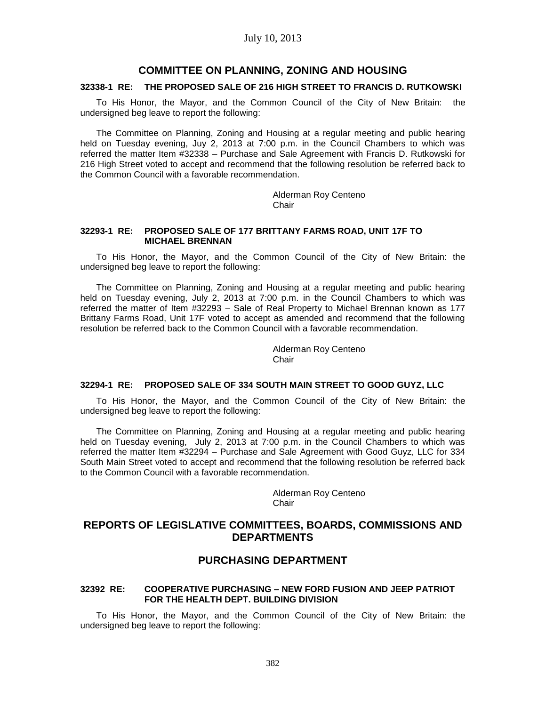## **COMMITTEE ON PLANNING, ZONING AND HOUSING**

#### **32338-1 RE: THE PROPOSED SALE OF 216 HIGH STREET TO FRANCIS D. RUTKOWSKI**

To His Honor, the Mayor, and the Common Council of the City of New Britain: the undersigned beg leave to report the following:

The Committee on Planning, Zoning and Housing at a regular meeting and public hearing held on Tuesday evening, Juy 2, 2013 at 7:00 p.m. in the Council Chambers to which was referred the matter Item #32338 – Purchase and Sale Agreement with Francis D. Rutkowski for 216 High Street voted to accept and recommend that the following resolution be referred back to the Common Council with a favorable recommendation.

> Alderman Roy Centeno Chair

#### **32293-1 RE: PROPOSED SALE OF 177 BRITTANY FARMS ROAD, UNIT 17F TO MICHAEL BRENNAN**

To His Honor, the Mayor, and the Common Council of the City of New Britain: the undersigned beg leave to report the following:

The Committee on Planning, Zoning and Housing at a regular meeting and public hearing held on Tuesday evening, July 2, 2013 at 7:00 p.m. in the Council Chambers to which was referred the matter of Item #32293 – Sale of Real Property to Michael Brennan known as 177 Brittany Farms Road, Unit 17F voted to accept as amended and recommend that the following resolution be referred back to the Common Council with a favorable recommendation.

> Alderman Roy Centeno **Chair**

#### **32294-1 RE: PROPOSED SALE OF 334 SOUTH MAIN STREET TO GOOD GUYZ, LLC**

To His Honor, the Mayor, and the Common Council of the City of New Britain: the undersigned beg leave to report the following:

The Committee on Planning, Zoning and Housing at a regular meeting and public hearing held on Tuesday evening, July 2, 2013 at 7:00 p.m. in the Council Chambers to which was referred the matter Item #32294 – Purchase and Sale Agreement with Good Guyz, LLC for 334 South Main Street voted to accept and recommend that the following resolution be referred back to the Common Council with a favorable recommendation.

> Alderman Roy Centeno Chair

# **REPORTS OF LEGISLATIVE COMMITTEES, BOARDS, COMMISSIONS AND DEPARTMENTS**

# **PURCHASING DEPARTMENT**

## **32392 RE: COOPERATIVE PURCHASING – NEW FORD FUSION AND JEEP PATRIOT FOR THE HEALTH DEPT. BUILDING DIVISION**

To His Honor, the Mayor, and the Common Council of the City of New Britain: the undersigned beg leave to report the following: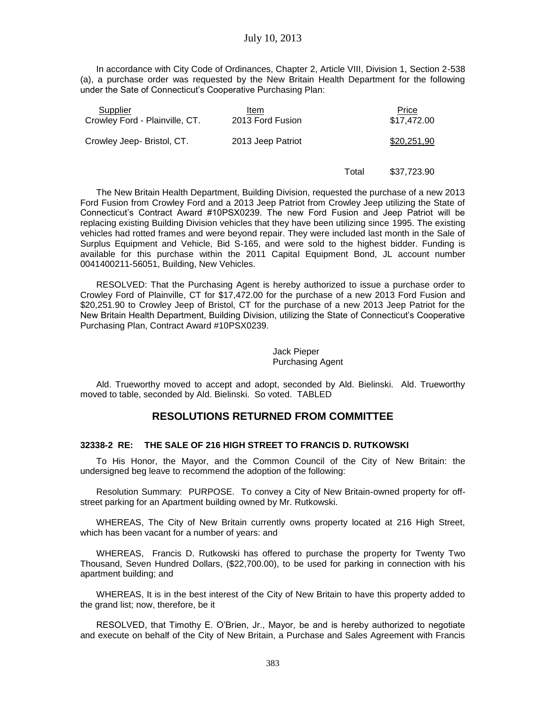In accordance with City Code of Ordinances, Chapter 2, Article VIII, Division 1, Section 2-538 (a), a purchase order was requested by the New Britain Health Department for the following under the Sate of Connecticut's Cooperative Purchasing Plan:

| Supplier<br>Crowley Ford - Plainville, CT. | Item<br>2013 Ford Fusion | Price<br>\$17,472.00 |
|--------------------------------------------|--------------------------|----------------------|
| Crowley Jeep- Bristol, CT.                 | 2013 Jeep Patriot        | \$20,251,90          |
|                                            |                          |                      |

The New Britain Health Department, Building Division, requested the purchase of a new 2013 Ford Fusion from Crowley Ford and a 2013 Jeep Patriot from Crowley Jeep utilizing the State of Connecticut's Contract Award #10PSX0239. The new Ford Fusion and Jeep Patriot will be replacing existing Building Division vehicles that they have been utilizing since 1995. The existing vehicles had rotted frames and were beyond repair. They were included last month in the Sale of Surplus Equipment and Vehicle, Bid S-165, and were sold to the highest bidder. Funding is available for this purchase within the 2011 Capital Equipment Bond, JL account number 0041400211-56051, Building, New Vehicles.

RESOLVED: That the Purchasing Agent is hereby authorized to issue a purchase order to Crowley Ford of Plainville, CT for \$17,472.00 for the purchase of a new 2013 Ford Fusion and \$20,251.90 to Crowley Jeep of Bristol, CT for the purchase of a new 2013 Jeep Patriot for the New Britain Health Department, Building Division, utilizing the State of Connecticut's Cooperative Purchasing Plan, Contract Award #10PSX0239.

## Jack Pieper Purchasing Agent

Total

\$37,723.90

Ald. Trueworthy moved to accept and adopt, seconded by Ald. Bielinski. Ald. Trueworthy moved to table, seconded by Ald. Bielinski. So voted. TABLED

# **RESOLUTIONS RETURNED FROM COMMITTEE**

## **32338-2 RE: THE SALE OF 216 HIGH STREET TO FRANCIS D. RUTKOWSKI**

To His Honor, the Mayor, and the Common Council of the City of New Britain: the undersigned beg leave to recommend the adoption of the following:

Resolution Summary: PURPOSE. To convey a City of New Britain-owned property for offstreet parking for an Apartment building owned by Mr. Rutkowski.

WHEREAS, The City of New Britain currently owns property located at 216 High Street, which has been vacant for a number of years: and

WHEREAS, Francis D. Rutkowski has offered to purchase the property for Twenty Two Thousand, Seven Hundred Dollars, (\$22,700.00), to be used for parking in connection with his apartment building; and

WHEREAS, It is in the best interest of the City of New Britain to have this property added to the grand list; now, therefore, be it

RESOLVED, that Timothy E. O'Brien, Jr., Mayor, be and is hereby authorized to negotiate and execute on behalf of the City of New Britain, a Purchase and Sales Agreement with Francis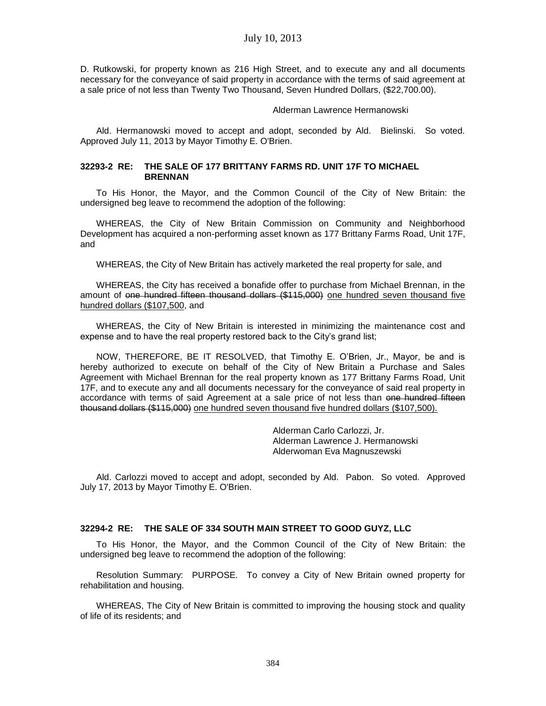D. Rutkowski, for property known as 216 High Street, and to execute any and all documents necessary for the conveyance of said property in accordance with the terms of said agreement at a sale price of not less than Twenty Two Thousand, Seven Hundred Dollars, (\$22,700.00).

#### Alderman Lawrence Hermanowski

Ald. Hermanowski moved to accept and adopt, seconded by Ald. Bielinski. So voted. Approved July 11, 2013 by Mayor Timothy E. O'Brien.

### **32293-2 RE: THE SALE OF 177 BRITTANY FARMS RD. UNIT 17F TO MICHAEL BRENNAN**

To His Honor, the Mayor, and the Common Council of the City of New Britain: the undersigned beg leave to recommend the adoption of the following:

WHEREAS, the City of New Britain Commission on Community and Neighborhood Development has acquired a non-performing asset known as 177 Brittany Farms Road, Unit 17F, and

WHEREAS, the City of New Britain has actively marketed the real property for sale, and

WHEREAS, the City has received a bonafide offer to purchase from Michael Brennan, in the amount of one hundred fifteen thousand dollars (\$115,000) one hundred seven thousand five hundred dollars (\$107,500, and

WHEREAS, the City of New Britain is interested in minimizing the maintenance cost and expense and to have the real property restored back to the City's grand list;

NOW, THEREFORE, BE IT RESOLVED, that Timothy E. O'Brien, Jr., Mayor, be and is hereby authorized to execute on behalf of the City of New Britain a Purchase and Sales Agreement with Michael Brennan for the real property known as 177 Brittany Farms Road, Unit 17F, and to execute any and all documents necessary for the conveyance of said real property in accordance with terms of said Agreement at a sale price of not less than one hundred fifteen thousand dollars (\$115,000) one hundred seven thousand five hundred dollars (\$107,500).

> Alderman Carlo Carlozzi, Jr. Alderman Lawrence J. Hermanowski Alderwoman Eva Magnuszewski

Ald. Carlozzi moved to accept and adopt, seconded by Ald. Pabon. So voted. Approved July 17, 2013 by Mayor Timothy E. O'Brien.

## **32294-2 RE: THE SALE OF 334 SOUTH MAIN STREET TO GOOD GUYZ, LLC**

To His Honor, the Mayor, and the Common Council of the City of New Britain: the undersigned beg leave to recommend the adoption of the following:

Resolution Summary: PURPOSE. To convey a City of New Britain owned property for rehabilitation and housing.

WHEREAS, The City of New Britain is committed to improving the housing stock and quality of life of its residents; and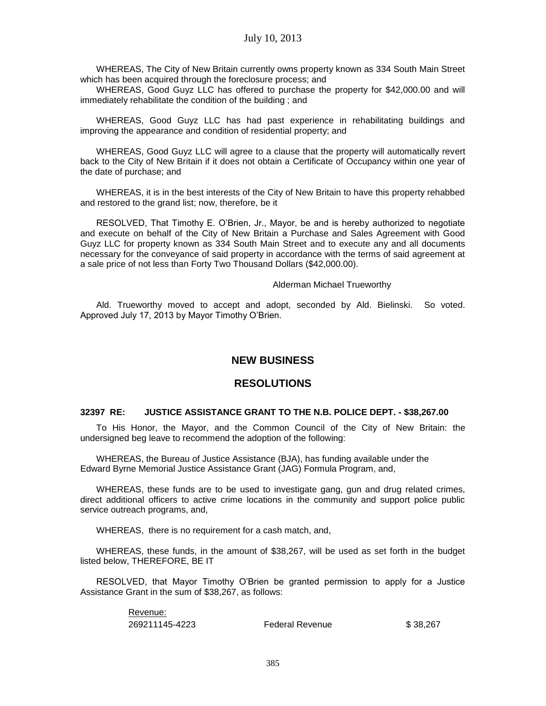WHEREAS, The City of New Britain currently owns property known as 334 South Main Street which has been acquired through the foreclosure process; and

WHEREAS, Good Guyz LLC has offered to purchase the property for \$42,000.00 and will immediately rehabilitate the condition of the building ; and

WHEREAS, Good Guyz LLC has had past experience in rehabilitating buildings and improving the appearance and condition of residential property; and

WHEREAS, Good Guyz LLC will agree to a clause that the property will automatically revert back to the City of New Britain if it does not obtain a Certificate of Occupancy within one year of the date of purchase; and

WHEREAS, it is in the best interests of the City of New Britain to have this property rehabbed and restored to the grand list; now, therefore, be it

RESOLVED, That Timothy E. O'Brien, Jr., Mayor, be and is hereby authorized to negotiate and execute on behalf of the City of New Britain a Purchase and Sales Agreement with Good Guyz LLC for property known as 334 South Main Street and to execute any and all documents necessary for the conveyance of said property in accordance with the terms of said agreement at a sale price of not less than Forty Two Thousand Dollars (\$42,000.00).

#### Alderman Michael Trueworthy

Ald. Trueworthy moved to accept and adopt, seconded by Ald. Bielinski. So voted. Approved July 17, 2013 by Mayor Timothy O'Brien.

# **NEW BUSINESS**

# **RESOLUTIONS**

#### **32397 RE: JUSTICE ASSISTANCE GRANT TO THE N.B. POLICE DEPT. - \$38,267.00**

To His Honor, the Mayor, and the Common Council of the City of New Britain: the undersigned beg leave to recommend the adoption of the following:

WHEREAS, the Bureau of Justice Assistance (BJA), has funding available under the Edward Byrne Memorial Justice Assistance Grant (JAG) Formula Program, and,

WHEREAS, these funds are to be used to investigate gang, gun and drug related crimes, direct additional officers to active crime locations in the community and support police public service outreach programs, and,

WHEREAS, there is no requirement for a cash match, and,

WHEREAS, these funds, in the amount of \$38,267, will be used as set forth in the budget listed below, THEREFORE, BE IT

RESOLVED, that Mayor Timothy O'Brien be granted permission to apply for a Justice Assistance Grant in the sum of \$38,267, as follows:

> Revenue: 269211145-4223 Federal Revenue \$ 38,267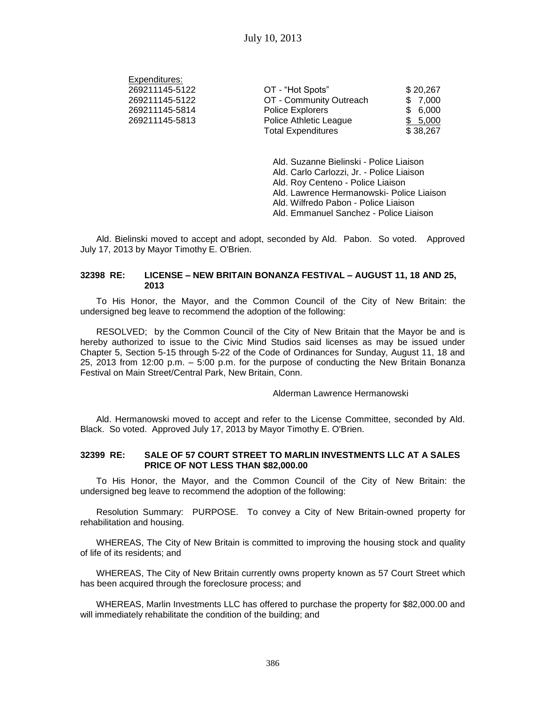Expenditures:

| EXPERIGIUMES.  |                           |          |
|----------------|---------------------------|----------|
| 269211145-5122 | OT - "Hot Spots"          | \$20,267 |
| 269211145-5122 | OT - Community Outreach   | \$7,000  |
| 269211145-5814 | Police Explorers          | \$6,000  |
| 269211145-5813 | Police Athletic League    | \$5,000  |
|                | <b>Total Expenditures</b> | \$38,267 |

Ald. Suzanne Bielinski - Police Liaison Ald. Carlo Carlozzi, Jr. - Police Liaison Ald. Roy Centeno - Police Liaison Ald. Lawrence Hermanowski- Police Liaison Ald. Wilfredo Pabon - Police Liaison Ald. Emmanuel Sanchez - Police Liaison

Ald. Bielinski moved to accept and adopt, seconded by Ald. Pabon. So voted. Approved July 17, 2013 by Mayor Timothy E. O'Brien.

### **32398 RE: LICENSE – NEW BRITAIN BONANZA FESTIVAL – AUGUST 11, 18 AND 25, 2013**

To His Honor, the Mayor, and the Common Council of the City of New Britain: the undersigned beg leave to recommend the adoption of the following:

RESOLVED; by the Common Council of the City of New Britain that the Mayor be and is hereby authorized to issue to the Civic Mind Studios said licenses as may be issued under Chapter 5, Section 5-15 through 5-22 of the Code of Ordinances for Sunday, August 11, 18 and 25, 2013 from 12:00 p.m. – 5:00 p.m. for the purpose of conducting the New Britain Bonanza Festival on Main Street/Central Park, New Britain, Conn.

Alderman Lawrence Hermanowski

Ald. Hermanowski moved to accept and refer to the License Committee, seconded by Ald. Black. So voted. Approved July 17, 2013 by Mayor Timothy E. O'Brien.

## **32399 RE: SALE OF 57 COURT STREET TO MARLIN INVESTMENTS LLC AT A SALES PRICE OF NOT LESS THAN \$82,000.00**

To His Honor, the Mayor, and the Common Council of the City of New Britain: the undersigned beg leave to recommend the adoption of the following:

Resolution Summary: PURPOSE. To convey a City of New Britain-owned property for rehabilitation and housing.

WHEREAS, The City of New Britain is committed to improving the housing stock and quality of life of its residents; and

WHEREAS, The City of New Britain currently owns property known as 57 Court Street which has been acquired through the foreclosure process; and

WHEREAS, Marlin Investments LLC has offered to purchase the property for \$82,000.00 and will immediately rehabilitate the condition of the building; and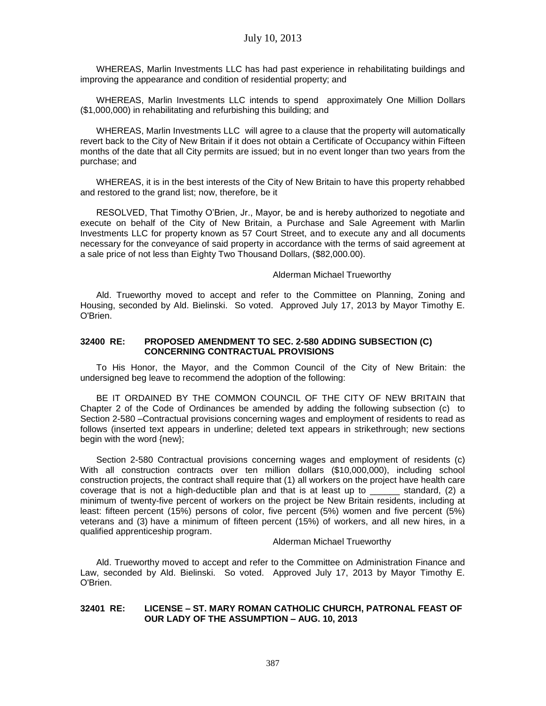WHEREAS, Marlin Investments LLC has had past experience in rehabilitating buildings and improving the appearance and condition of residential property; and

WHEREAS, Marlin Investments LLC intends to spend approximately One Million Dollars (\$1,000,000) in rehabilitating and refurbishing this building; and

WHEREAS, Marlin Investments LLC will agree to a clause that the property will automatically revert back to the City of New Britain if it does not obtain a Certificate of Occupancy within Fifteen months of the date that all City permits are issued; but in no event longer than two years from the purchase; and

WHEREAS, it is in the best interests of the City of New Britain to have this property rehabbed and restored to the grand list; now, therefore, be it

RESOLVED, That Timothy O'Brien, Jr., Mayor, be and is hereby authorized to negotiate and execute on behalf of the City of New Britain, a Purchase and Sale Agreement with Marlin Investments LLC for property known as 57 Court Street, and to execute any and all documents necessary for the conveyance of said property in accordance with the terms of said agreement at a sale price of not less than Eighty Two Thousand Dollars, (\$82,000.00).

#### Alderman Michael Trueworthy

Ald. Trueworthy moved to accept and refer to the Committee on Planning, Zoning and Housing, seconded by Ald. Bielinski. So voted. Approved July 17, 2013 by Mayor Timothy E. O'Brien.

#### **32400 RE: PROPOSED AMENDMENT TO SEC. 2-580 ADDING SUBSECTION (C) CONCERNING CONTRACTUAL PROVISIONS**

To His Honor, the Mayor, and the Common Council of the City of New Britain: the undersigned beg leave to recommend the adoption of the following:

BE IT ORDAINED BY THE COMMON COUNCIL OF THE CITY OF NEW BRITAIN that Chapter 2 of the Code of Ordinances be amended by adding the following subsection (c) to Section 2-580 –Contractual provisions concerning wages and employment of residents to read as follows (inserted text appears in underline; deleted text appears in strikethrough; new sections begin with the word {new};

Section 2-580 Contractual provisions concerning wages and employment of residents (c) With all construction contracts over ten million dollars (\$10,000,000), including school construction projects, the contract shall require that (1) all workers on the project have health care coverage that is not a high-deductible plan and that is at least up to \_\_\_\_\_\_ standard, (2) a minimum of twenty-five percent of workers on the project be New Britain residents, including at least: fifteen percent (15%) persons of color, five percent (5%) women and five percent (5%) veterans and (3) have a minimum of fifteen percent (15%) of workers, and all new hires, in a qualified apprenticeship program.

Alderman Michael Trueworthy

Ald. Trueworthy moved to accept and refer to the Committee on Administration Finance and Law, seconded by Ald. Bielinski. So voted. Approved July 17, 2013 by Mayor Timothy E. O'Brien.

### **32401 RE: LICENSE – ST. MARY ROMAN CATHOLIC CHURCH, PATRONAL FEAST OF OUR LADY OF THE ASSUMPTION – AUG. 10, 2013**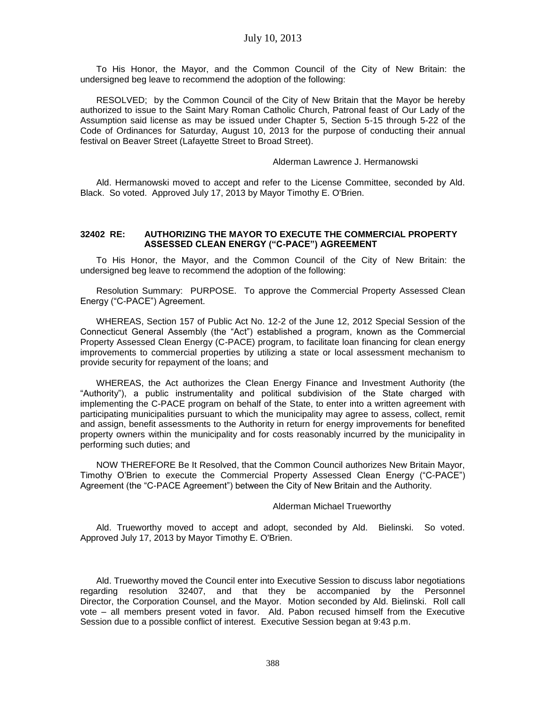To His Honor, the Mayor, and the Common Council of the City of New Britain: the undersigned beg leave to recommend the adoption of the following:

RESOLVED; by the Common Council of the City of New Britain that the Mayor be hereby authorized to issue to the Saint Mary Roman Catholic Church, Patronal feast of Our Lady of the Assumption said license as may be issued under Chapter 5, Section 5-15 through 5-22 of the Code of Ordinances for Saturday, August 10, 2013 for the purpose of conducting their annual festival on Beaver Street (Lafayette Street to Broad Street).

#### Alderman Lawrence J. Hermanowski

Ald. Hermanowski moved to accept and refer to the License Committee, seconded by Ald. Black. So voted. Approved July 17, 2013 by Mayor Timothy E. O'Brien.

#### **32402 RE: AUTHORIZING THE MAYOR TO EXECUTE THE COMMERCIAL PROPERTY ASSESSED CLEAN ENERGY ("C-PACE") AGREEMENT**

To His Honor, the Mayor, and the Common Council of the City of New Britain: the undersigned beg leave to recommend the adoption of the following:

Resolution Summary: PURPOSE. To approve the Commercial Property Assessed Clean Energy ("C-PACE") Agreement.

WHEREAS, Section 157 of Public Act No. 12-2 of the June 12, 2012 Special Session of the Connecticut General Assembly (the "Act") established a program, known as the Commercial Property Assessed Clean Energy (C-PACE) program, to facilitate loan financing for clean energy improvements to commercial properties by utilizing a state or local assessment mechanism to provide security for repayment of the loans; and

WHEREAS, the Act authorizes the Clean Energy Finance and Investment Authority (the "Authority"), a public instrumentality and political subdivision of the State charged with implementing the C-PACE program on behalf of the State, to enter into a written agreement with participating municipalities pursuant to which the municipality may agree to assess, collect, remit and assign, benefit assessments to the Authority in return for energy improvements for benefited property owners within the municipality and for costs reasonably incurred by the municipality in performing such duties; and

NOW THEREFORE Be It Resolved, that the Common Council authorizes New Britain Mayor, Timothy O'Brien to execute the Commercial Property Assessed Clean Energy ("C-PACE") Agreement (the "C-PACE Agreement") between the City of New Britain and the Authority.

#### Alderman Michael Trueworthy

Ald. Trueworthy moved to accept and adopt, seconded by Ald. Bielinski. So voted. Approved July 17, 2013 by Mayor Timothy E. O'Brien.

Ald. Trueworthy moved the Council enter into Executive Session to discuss labor negotiations regarding resolution 32407, and that they be accompanied by the Personnel Director, the Corporation Counsel, and the Mayor. Motion seconded by Ald. Bielinski. Roll call vote – all members present voted in favor. Ald. Pabon recused himself from the Executive Session due to a possible conflict of interest. Executive Session began at 9:43 p.m.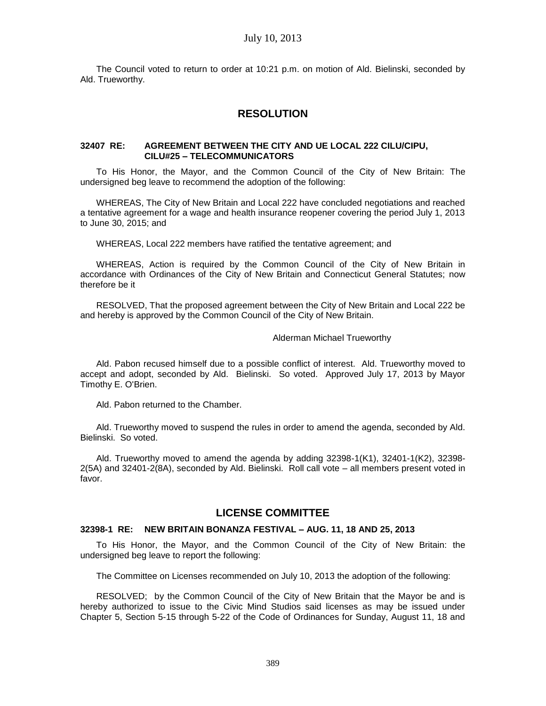The Council voted to return to order at 10:21 p.m. on motion of Ald. Bielinski, seconded by Ald. Trueworthy.

# **RESOLUTION**

#### **32407 RE: AGREEMENT BETWEEN THE CITY AND UE LOCAL 222 CILU/CIPU, CILU#25 – TELECOMMUNICATORS**

To His Honor, the Mayor, and the Common Council of the City of New Britain: The undersigned beg leave to recommend the adoption of the following:

WHEREAS, The City of New Britain and Local 222 have concluded negotiations and reached a tentative agreement for a wage and health insurance reopener covering the period July 1, 2013 to June 30, 2015; and

WHEREAS, Local 222 members have ratified the tentative agreement; and

WHEREAS, Action is required by the Common Council of the City of New Britain in accordance with Ordinances of the City of New Britain and Connecticut General Statutes; now therefore be it

RESOLVED, That the proposed agreement between the City of New Britain and Local 222 be and hereby is approved by the Common Council of the City of New Britain.

#### Alderman Michael Trueworthy

Ald. Pabon recused himself due to a possible conflict of interest. Ald. Trueworthy moved to accept and adopt, seconded by Ald. Bielinski. So voted. Approved July 17, 2013 by Mayor Timothy E. O'Brien.

Ald. Pabon returned to the Chamber.

Ald. Trueworthy moved to suspend the rules in order to amend the agenda, seconded by Ald. Bielinski. So voted.

Ald. Trueworthy moved to amend the agenda by adding 32398-1(K1), 32401-1(K2), 32398- 2(5A) and 32401-2(8A), seconded by Ald. Bielinski. Roll call vote – all members present voted in favor.

# **LICENSE COMMITTEE**

## **32398-1 RE: NEW BRITAIN BONANZA FESTIVAL – AUG. 11, 18 AND 25, 2013**

To His Honor, the Mayor, and the Common Council of the City of New Britain: the undersigned beg leave to report the following:

The Committee on Licenses recommended on July 10, 2013 the adoption of the following:

RESOLVED; by the Common Council of the City of New Britain that the Mayor be and is hereby authorized to issue to the Civic Mind Studios said licenses as may be issued under Chapter 5, Section 5-15 through 5-22 of the Code of Ordinances for Sunday, August 11, 18 and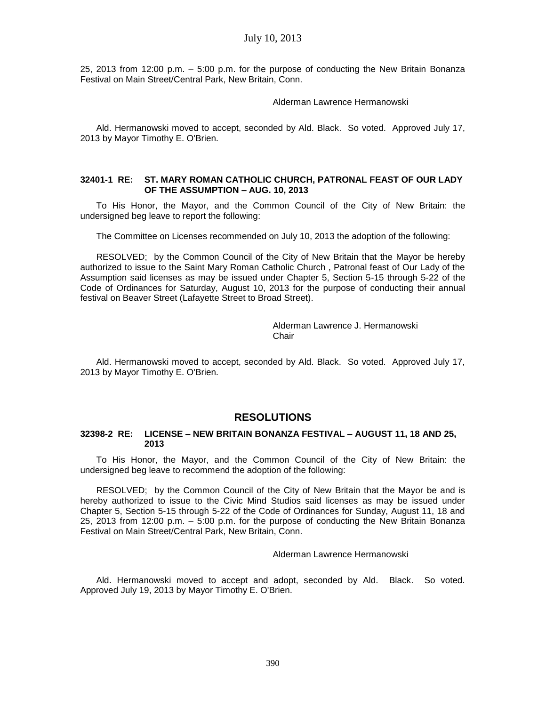25, 2013 from 12:00 p.m. – 5:00 p.m. for the purpose of conducting the New Britain Bonanza Festival on Main Street/Central Park, New Britain, Conn.

### Alderman Lawrence Hermanowski

Ald. Hermanowski moved to accept, seconded by Ald. Black. So voted. Approved July 17, 2013 by Mayor Timothy E. O'Brien.

### **32401-1 RE: ST. MARY ROMAN CATHOLIC CHURCH, PATRONAL FEAST OF OUR LADY OF THE ASSUMPTION – AUG. 10, 2013**

To His Honor, the Mayor, and the Common Council of the City of New Britain: the undersigned beg leave to report the following:

The Committee on Licenses recommended on July 10, 2013 the adoption of the following:

RESOLVED; by the Common Council of the City of New Britain that the Mayor be hereby authorized to issue to the Saint Mary Roman Catholic Church , Patronal feast of Our Lady of the Assumption said licenses as may be issued under Chapter 5, Section 5-15 through 5-22 of the Code of Ordinances for Saturday, August 10, 2013 for the purpose of conducting their annual festival on Beaver Street (Lafayette Street to Broad Street).

> Alderman Lawrence J. Hermanowski Chair

Ald. Hermanowski moved to accept, seconded by Ald. Black. So voted. Approved July 17, 2013 by Mayor Timothy E. O'Brien.

# **RESOLUTIONS**

#### **32398-2 RE: LICENSE – NEW BRITAIN BONANZA FESTIVAL – AUGUST 11, 18 AND 25, 2013**

To His Honor, the Mayor, and the Common Council of the City of New Britain: the undersigned beg leave to recommend the adoption of the following:

RESOLVED; by the Common Council of the City of New Britain that the Mayor be and is hereby authorized to issue to the Civic Mind Studios said licenses as may be issued under Chapter 5, Section 5-15 through 5-22 of the Code of Ordinances for Sunday, August 11, 18 and 25, 2013 from 12:00 p.m. – 5:00 p.m. for the purpose of conducting the New Britain Bonanza Festival on Main Street/Central Park, New Britain, Conn.

# Alderman Lawrence Hermanowski

Ald. Hermanowski moved to accept and adopt, seconded by Ald. Black. So voted. Approved July 19, 2013 by Mayor Timothy E. O'Brien.